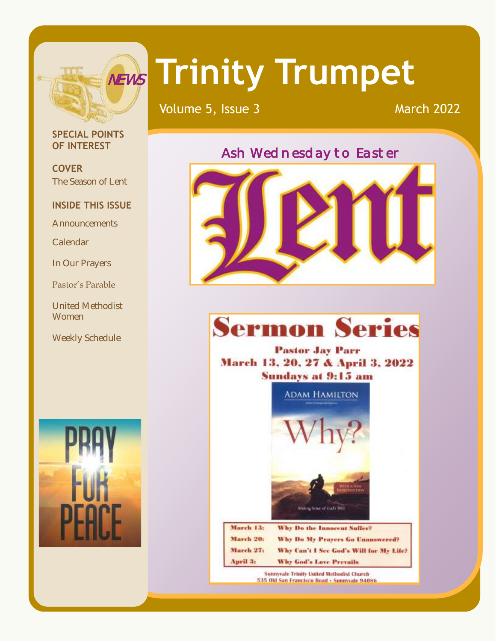

# **Trinity Trumpet** NEWS

Volume 5, Issue 3 March 2022

#### **SPECIAL POINTS OF INTEREST**

**COVER** The Season of Lent

#### **INSIDE THIS ISSUE**

**Announcements** 

Calendar

In Our Prayers

Pastor's Parable

United Methodist **Women** 

Weekly Schedule



### Ash Wednesday to Easter



## **Sermon Series**

**Pastor Jay Parr** March 13, 20, 27 & April 3, 2022 **Sundays at 9:15 am** 



| March 13: | Why Do the Innocent Suffer?             |
|-----------|-----------------------------------------|
| March 201 | Why Do My Prayers Go Unanswered?        |
| March 27: | Why Can't I See God's Will for My Life? |
| April 3:  | Why God's Love Prevails                 |

**Sunnyvale Trinity United Methodist Church** 535 Old San Francisco Road - Sunnyvale 94086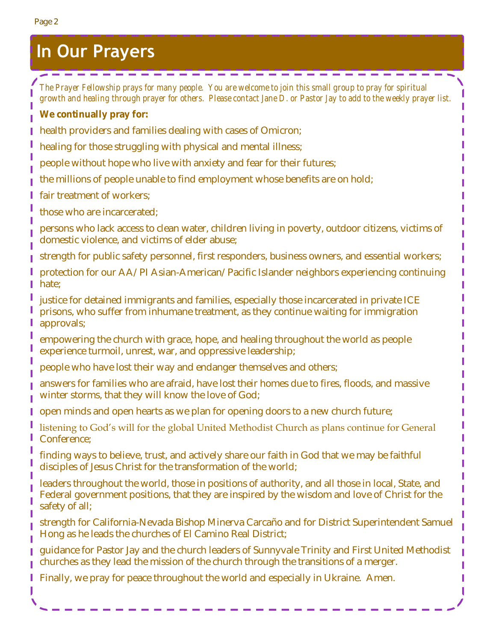## **In Our Prayers**

**Service** 

 $\sim$ 

--------

*The Prayer Fellowship prays for many people. You are welcome to join this small group to pray for spiritual growth and healing through prayer for others. Please contact Jane D. or Pastor Jay to add to the weekly prayer list.* **We continually pray for:** health providers and families dealing with cases of Omicron; healing for those struggling with physical and mental illness; people without hope who live with anxiety and fear for their futures; the millions of people unable to find employment whose benefits are on hold; fair treatment of workers; those who are incarcerated; persons who lack access to clean water, children living in poverty, outdoor citizens, victims of domestic violence, and victims of elder abuse; strength for public safety personnel, first responders, business owners, and essential workers; protection for our AA/PI Asian-American/Pacific Islander neighbors experiencing continuing hate; justice for detained immigrants and families, especially those incarcerated in private ICE prisons, who suffer from inhumane treatment, as they continue waiting for immigration approvals; empowering the church with grace, hope, and healing throughout the world as people experience turmoil, unrest, war, and oppressive leadership; people who have lost their way and endanger themselves and others; answers for families who are afraid, have lost their homes due to fires, floods, and massive winter storms, that they will know the love of God; open minds and open hearts as we plan for opening doors to a new church future; listening to God's will for the global United Methodist Church as plans continue for General Conference; finding ways to believe, trust, and actively share our faith in God that we may be faithful disciples of Jesus Christ for the transformation of the world; leaders throughout the world, those in positions of authority, and all those in local, State, and Federal government positions, that they are inspired by the wisdom and love of Christ for the safety of all; strength for California-Nevada Bishop Minerva Carcaño and for District Superintendent Samuel Hong as he leads the churches of El Camino Real District; guidance for Pastor Jay and the church leaders of Sunnyvale Trinity and First United Methodist I churches as they lead the mission of the church through the transitions of a merger. Finally, we pray for peace throughout the world and especially in Ukraine. Amen. ı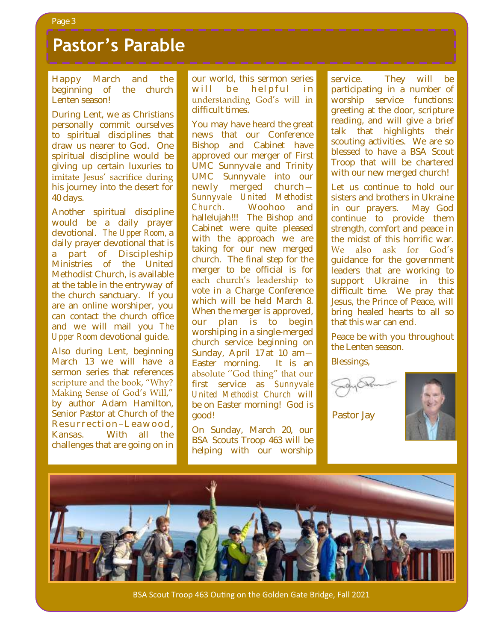## **Pastor's Parable**

Happy March and the beginning of the church Lenten season!

During Lent, we as Christians personally commit ourselves to spiritual disciplines that draw us nearer to God. One spiritual discipline would be giving up certain luxuries to imitate Jesus' sacrifice during his journey into the desert for 40 days.

Another spiritual discipline would be a daily prayer devotional. *The Upper Room,* a daily prayer devotional that is a part of Discipleship Ministries of the United Methodist Church, is available at the table in the entryway of the church sanctuary. If you are an online worshiper, you can contact the church office and we will mail you *The Upper Room* devotional guide.

Also during Lent, beginning March 13 we will have a sermon series that references scripture and the book, "Why? Making Sense of God's Will," by author Adam Hamilton, Senior Pastor at Church of the Resurrection-Leawood, Kansas. With all the challenges that are going on in

our world, this sermon series will be helpful in understanding God's will in difficult times.

You may have heard the great news that our Conference Bishop and Cabinet have approved our merger of First UMC Sunnyvale and Trinity UMC Sunnyvale into our newly merged church— *Sunnyvale United Methodist Church*. Woohoo and hallelujah!!! The Bishop and Cabinet were quite pleased with the approach we are taking for our new merged church. The final step for the merger to be official is for each church's leadership to vote in a Charge Conference which will be held March 8. When the merger is approved, our plan is to begin worshiping in a single-merged church service beginning on Sunday, April 17 at 10 am— Easter morning. It is an absolute ''God thing" that our first service as *Sunnyvale United Methodist Church* will be on Easter morning! God is good!

On Sunday, March 20, our BSA Scouts Troop 463 will be helping with our worship

service. They will be participating in a number of worship service functions: greeting at the door, scripture reading, and will give a brief talk that highlights their scouting activities. We are so blessed to have a BSA Scout Troop that will be chartered with our new merged church!

Let us continue to hold our sisters and brothers in Ukraine in our prayers. May God continue to provide them strength, comfort and peace in the midst of this horrific war. We also ask for God's guidance for the government leaders that are working to support Ukraine in this difficult time. We pray that Jesus, the Prince of Peace, will bring healed hearts to all so that this war can end.

Peace be with you throughout the Lenten season.

Blessings,

Pastor Jay





BSA Scout Troop 463 Outing on the Golden Gate Bridge, Fall 2021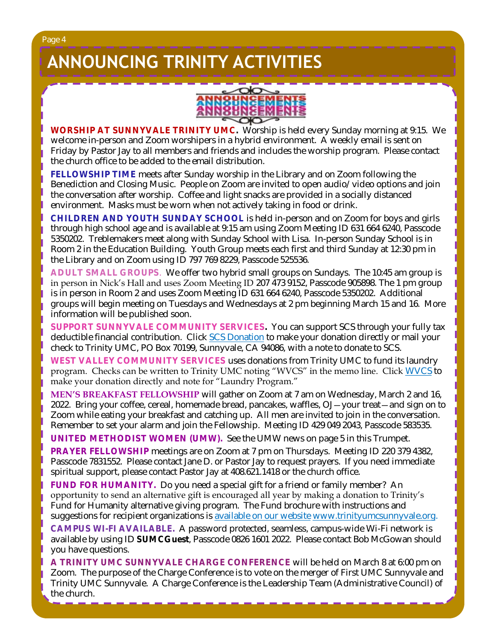## **ANNOUNCING TRINITY ACTIVITIES**



**WORSHIP AT SUNNYVALE TRINITY UMC.** Worship is held every Sunday morning at 9:15. We welcome in-person and Zoom worshipers in a hybrid environment. A weekly email is sent on Friday by Pastor Jay to all members and friends and includes the worship program. Please contact the church office to be added to the email distribution.

**FELLOWSHIP TIME** meets after Sunday worship in the Library and on Zoom following the Benediction and Closing Music. People on Zoom are invited to open audio/video options and join the conversation after worship. Coffee and light snacks are provided in a socially distanced environment. Masks must be worn when not actively taking in food or drink.

**CHILDREN AND YOUTH SUNDAY SCHOOL** is held in-person and on Zoom for boys and girls through high school age and is available at 9:15 am using Zoom Meeting ID 631 664 6240, Passcode 5350202. Treblemakers meet along with Sunday School with Lisa. In-person Sunday School is in Room 2 in the Education Building. Youth Group meets each first and third Sunday at 12:30 pm in the Library and on Zoom using ID 797 769 8229, Passcode 525536.

**ADULT SMALL GROUPS**. We offer two hybrid small groups on Sundays. The 10:45 am group is in person in Nick's Hall and uses Zoom Meeting ID 207 473 9152, Passcode 905898. The 1 pm group is in person in Room 2 and uses Zoom Meeting ID 631 664 6240, Passcode 5350202. Additional groups will begin meeting on Tuesdays and Wednesdays at 2 pm beginning March 15 and 16. More information will be published soon.

**SUPPORT SUNNYVALE COMMUNITY SERVICES.** You can support SCS through your fully tax deductible financial contribution. Click [SCS Donation](https://svcommunityservices.org/donate-online/) to make your donation directly or mail your check to Trinity UMC, PO Box 70199, Sunnyvale, CA 94086, with a note to donate to SCS.

**WEST VALLEY COMMUNITY SERVICES** uses donations from Trinity UMC to fund its laundry program. Checks can be written to Trinity UMC noting "WVCS" in the memo line. Click [WVCS](https://www.wvcommunityservices.org/donate-now-covid19) to make your donation directly and note for "Laundry Program."

**MEN'S BREAKFAST FELLOWSHIP** will gather on Zoom at 7 am on Wednesday, March 2 and 16, 2022. Bring your coffee, cereal, homemade bread, pancakes, waffles, OJ—your treat—and sign on to Zoom while eating your breakfast and catching up. All men are invited to join in the conversation. Remember to set your alarm and join the Fellowship. Meeting ID 429 049 2043, Passcode 583535.

**UNITED METHODIST WOMEN (UMW).** See the UMW news on page 5 in this Trumpet.

**PRAYER FELLOWSHIP** meetings are on Zoom at 7 pm on Thursdays. Meeting ID 220 379 4382, Passcode 7831552. Please contact Jane D. or Pastor Jay to request prayers. If you need immediate spiritual support, please contact Pastor Jay at 408.621.1418 or the church office.

**FUND FOR HUMANITY.** Do you need a special gift for a friend or family member? An opportunity to send an alternative gift is encouraged all year by making a donation to Trinity's Fund for Humanity alternative giving program. The Fund brochure with instructions and suggestions for recipient organizations is [available on our website](http://www.trinityumcsunnyvale.org/docs/Images/2020%20Web%20Fund%20for%20Humanity.pdf) [www.trinityumcsunnyvale.org.](http://www.trinityumcsunnyvale.org) **CAMPUS WI-FI AVAILABLE.** A password protected, seamless, campus-wide Wi-Fi network is available by using ID **SUMCGuest**, Passcode 0826 1601 2022. Please contact Bob McGowan should you have questions.

**A TRINITY UMC SUNNYVALE CHARGE CONFERENCE** will be held on March 8 at 6:00 pm on Zoom. The purpose of the Charge Conference is to vote on the merger of First UMC Sunnyvale and Trinity UMC Sunnyvale. A Charge Conference is the Leadership Team (Administrative Council) of the church.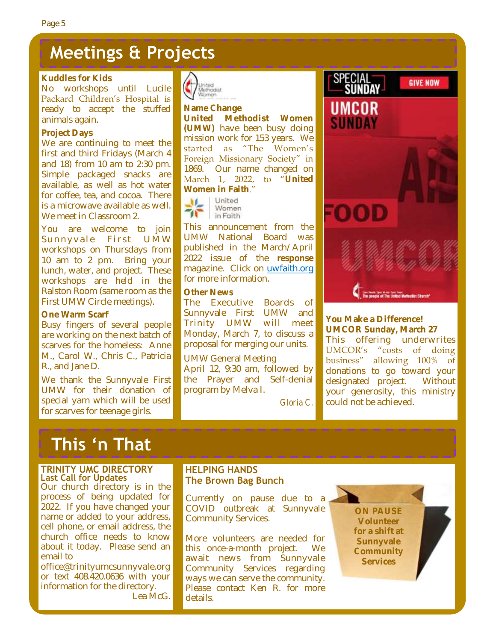## **Meetings & Projects**

#### **Kuddles for Kids**

No workshops until Lucile Packard Children's Hospital is ready to accept the stuffed animals again.

#### **Project Days**

We are continuing to meet the first and third Fridays (March 4 and 18) from 10 am to 2:30 pm. Simple packaged snacks are available, as well as hot water for coffee, tea, and cocoa. There is a microwave available as well. We meet in Classroom 2.

You are welcome to join Sunnyvale First UMW workshops on Thursdays from 10 am to 2 pm. Bring your lunch, water, and project. These workshops are held in the Ralston Room (same room as the First UMW Circle meetings).

#### **One Warm Scarf**

Busy fingers of several people are working on the next batch of scarves for the homeless: Anne M., Carol W., Chris C., Patricia R., and Jane D.

We thank the Sunnyvale First UMW for their donation of special yarn which will be used for scarves for teenage girls.



**Name Change United Methodist Women (UMW)** have been busy doing mission work for 153 years. We started as "The Women's Foreign Missionary Society" in 1869. Our name changed on March 1, 2022, to "**United Women in Faith**."



This announcement from the UMW National Board was published in the March/April 2022 issue of the **response** magazine. Click on [uwfaith.org](https://uwfaith.org/) for more information.

#### **Other News**

The Executive Boards of Sunnyvale First UMW and Trinity UMW will meet Monday, March 7, to discuss a proposal for merging our units.

UMW General Meeting April 12, 9:30 am, followed by the Prayer and Self-denial program by Melva I.

*Gloria C.*



**You Make a Difference! UMCOR Sunday, March 27** This offering underwrites UMCOR's "costs of doing business" allowing 100% of donations to go toward your designated project. Without your generosity, this ministry could not be achieved.

## **This 'n That**

#### **TRINITY UMC DIRECTORY Last Call for Updates**

Our church directory is in the process of being updated for 2022. If you have changed your name or added to your address, cell phone, or email address, the church office needs to know about it today. Please send an email to

office@trinityumcsunnyvale.org or text 408.420.0636 with your information for the directory. Lea McG.

#### **HELPING HANDS The Brown Bag Bunch**

Currently on pause due to a COVID outbreak at Sunnyvale Community Services.

More volunteers are needed for this once-a-month project. We await news from Sunnyvale Community Services regarding ways we can serve the community. Please contact Ken R. for more details.

**ON PAUSE Volunteer for a shift at Sunnyvale Community Services**